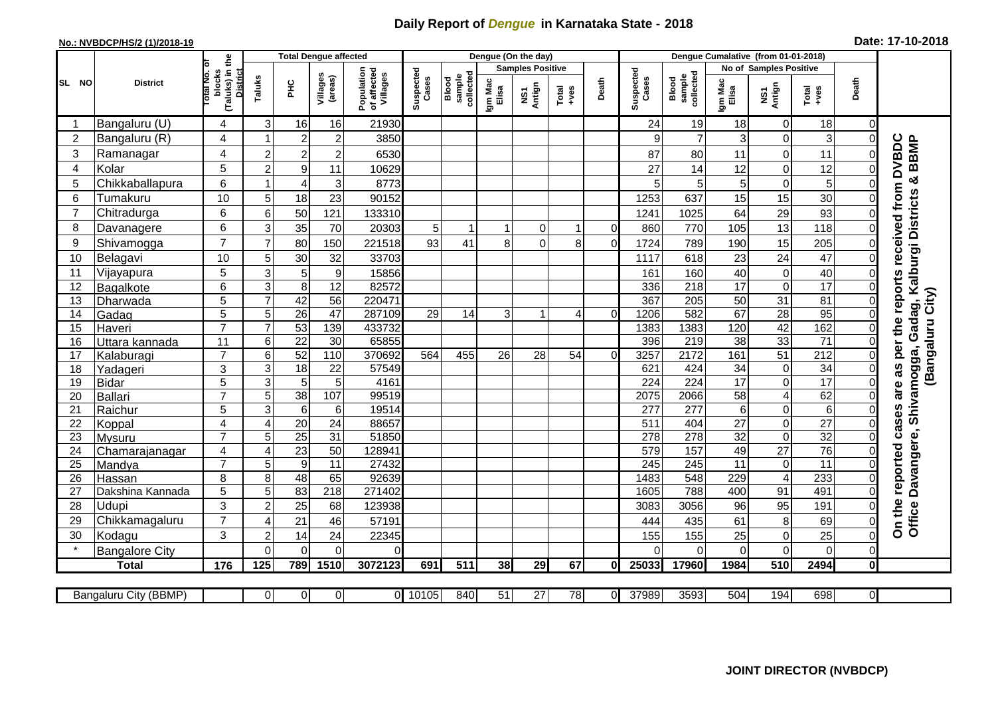## **Daily Report of** *Dengue* **in Karnataka State - 2018**

## **No.: NVBDCP/HS/2 (1)/2018-19 Date: 17-10-2018**

|                | <b>District</b>       |                                                   | <b>Total Dengue affected</b> |                         |                     |                                       |                    |                              |                  | Dengue (On the day) |                                                              |              |                    |                              |                        |                         |                  |                  |                                            |
|----------------|-----------------------|---------------------------------------------------|------------------------------|-------------------------|---------------------|---------------------------------------|--------------------|------------------------------|------------------|---------------------|--------------------------------------------------------------|--------------|--------------------|------------------------------|------------------------|-------------------------|------------------|------------------|--------------------------------------------|
|                |                       | ö                                                 |                              |                         |                     |                                       |                    |                              |                  |                     | <b>Samples Positive</b>                                      |              |                    |                              | No of Samples Positive |                         |                  |                  |                                            |
| SL NO          |                       | (Taluks) in the<br>District<br>blocks<br>otal No. | Taluks                       | нc                      | Villages<br>(areas) | Population<br>of affected<br>Villages | Suspected<br>Cases | collected<br>sample<br>Blood | Igm Mac<br>Elisa | NS1<br>Antign       | $\begin{array}{c}\n\text{Total} \\ \text{Area}\n\end{array}$ | Death        | Suspected<br>Cases | collected<br>sample<br>Blood | Igm Mac<br>Elisa       | NS1<br>Antign           | $Tota$<br>$+ves$ | Death            |                                            |
|                | Bangaluru (U)         | 4                                                 | 3                            | 16                      | 16                  | 21930                                 |                    |                              |                  |                     |                                                              |              | 24                 | 19                           | 18                     | $\mathbf 0$             | 18               | $\Omega$         |                                            |
| $\overline{2}$ | Bangaluru (R)         | 4                                                 | 1                            | $\overline{2}$          | $\overline{2}$      | 3850                                  |                    |                              |                  |                     |                                                              |              | 9                  | $\overline{7}$               | 3                      | $\mathbf 0$             | 3                | $\mathbf 0$      |                                            |
| 3              | Ramanagar             | 4                                                 | 2                            | $\overline{\mathbf{c}}$ | $\boldsymbol{2}$    | 6530                                  |                    |                              |                  |                     |                                                              |              | 87                 | 80                           | 11                     | 0                       | 11               | 0                | <b>DVBDC</b><br><b>BBMP</b>                |
| $\overline{4}$ | Kolar                 | 5                                                 | $\overline{2}$               | $\overline{9}$          | 11                  | 10629                                 |                    |                              |                  |                     |                                                              |              | 27                 | 14                           | 12                     | $\mathbf 0$             | 12               | $\mathbf 0$      |                                            |
| 5              | Chikkaballapura       | 6                                                 | 1                            | $\overline{\mathbf{4}}$ | 3                   | 8773                                  |                    |                              |                  |                     |                                                              |              | 5                  | 5                            | 5                      | $\mathbf 0$             | $\overline{5}$   | $\mathbf 0$      | ×                                          |
| 6              | Tumakuru              | 10                                                | 5                            | 18                      | 23                  | 90152                                 |                    |                              |                  |                     |                                                              |              | 1253               | 637                          | 15                     | 15                      | 30               | $\mathbf 0$      | received from<br>Gadag, Kalburgi Districts |
| 7              | Chitradurga           | 6                                                 | 6                            | 50                      | 121                 | 133310                                |                    |                              |                  |                     |                                                              |              | 1241               | 1025                         | 64                     | $\overline{29}$         | 93               | $\Omega$         |                                            |
| 8              | Davanagere            | 6                                                 | 3                            | 35                      | 70                  | 20303                                 | 5                  | 1                            |                  | $\overline{0}$      |                                                              | $\Omega$     | 860                | 770                          | 105                    | 13                      | 118              | $\mathbf 0$      |                                            |
| 9              | Shivamogga            | $\overline{7}$                                    | $\overline{7}$               | 80                      | 150                 | 221518                                | 93                 | 41                           | 8                | $\mathbf 0$         | 8                                                            | $\mathbf 0$  | 1724               | 789                          | 190                    | 15                      | 205              | $\mathbf 0$      |                                            |
| 10             | Belagavi              | 10                                                | 5                            | 30                      | 32                  | 33703                                 |                    |                              |                  |                     |                                                              |              | 1117               | 618                          | 23                     | 24                      | 47               | $\mathbf 0$      |                                            |
| 11             | Vijayapura            | 5                                                 | 3                            | 5                       | $\boldsymbol{9}$    | 15856                                 |                    |                              |                  |                     |                                                              |              | 161                | 160                          | 40                     | $\boldsymbol{0}$        | 40               | 0                |                                            |
| 12             | Bagalkote             | 6                                                 | 3                            | $\overline{8}$          | $\overline{12}$     | 82572                                 |                    |                              |                  |                     |                                                              |              | 336                | 218                          | 17                     | $\mathbf 0$             | 17               | $\Omega$         | the reports                                |
| 13             | Dharwada              | 5                                                 | $\overline{7}$               | 42                      | $\overline{56}$     | 220471                                |                    |                              |                  |                     |                                                              |              | 367                | 205                          | 50                     | 31                      | 81               | 0                |                                            |
| 14             | Gadag                 | 5                                                 | 5                            | 26                      | $\overline{47}$     | 287109                                | 29                 | 14                           | 3                |                     | $\overline{4}$                                               | $\mathbf 0$  | 1206               | 582                          | 67                     | 28                      | 95               | $\mathbf 0$      |                                            |
| 15             | Haveri                | $\overline{7}$                                    | $\overline{7}$               | 53                      | 139                 | 433732                                |                    |                              |                  |                     |                                                              |              | 1383               | 1383                         | 120                    | 42                      | 162              | $\mathbf 0$      |                                            |
| 16             | Uttara kannada        | 11                                                | 6                            | $\overline{22}$         | 30                  | 65855                                 |                    |                              |                  |                     |                                                              |              | 396                | 219                          | 38                     | 33                      | $\overline{71}$  | $\Omega$         |                                            |
| 17             | Kalaburagi            | $\overline{7}$                                    | 6                            | 52                      | 110                 | 370692                                | 564                | 455                          | 26               | 28                  | 54                                                           | $\Omega$     | 3257               | 2172                         | 161                    | 51                      | 212              | $\mathbf 0$      | (Bangaluru City)<br>per<br>Shivamogga,     |
| 18             | Yadageri              | 3                                                 | 3                            | 18                      | 22                  | 57549                                 |                    |                              |                  |                     |                                                              |              | 621                | 424                          | 34                     | $\pmb{0}$               | 34               | $\mathbf 0$      | as                                         |
| 19             | <b>Bidar</b>          | 5                                                 | $\overline{3}$               | $\overline{5}$          | 5                   | 4161                                  |                    |                              |                  |                     |                                                              |              | 224                | 224                          | 17                     | $\overline{0}$          | 17               | $\mathbf 0$      |                                            |
| 20             | Ballari               | $\overline{7}$                                    | 5                            | 38                      | 107                 | 99519                                 |                    |                              |                  |                     |                                                              |              | 2075               | 2066                         | 58                     | $\overline{4}$          | 62               | $\mathbf 0$      | are                                        |
| 21             | Raichur               | 5                                                 | 3                            | $\,6$                   | 6                   | 19514                                 |                    |                              |                  |                     |                                                              |              | 277                | 277                          | 6                      | $\boldsymbol{0}$        | $\overline{6}$   | 0                |                                            |
| 22             | Koppal                | $\overline{4}$                                    | $\overline{4}$               | 20                      | 24                  | 88657                                 |                    |                              |                  |                     |                                                              |              | 511                | 404                          | 27                     | $\mathbf 0$             | $\overline{27}$  | $\mathbf 0$      | cases                                      |
| 23             | <b>Mysuru</b>         | $\overline{7}$                                    | 5                            | $\overline{25}$         | 31                  | 51850                                 |                    |                              |                  |                     |                                                              |              | 278                | 278                          | $\overline{32}$        | $\mathbf 0$             | 32               | $\Omega$         |                                            |
| 24             | Chamarajanagar        | 4                                                 | $\overline{4}$               | 23                      | 50                  | 12894 <sup>-</sup>                    |                    |                              |                  |                     |                                                              |              | 579                | 157                          | 49                     | $\overline{27}$         | 76               | $\Omega$         | reported                                   |
| 25             | Mandya                | $\overline{7}$                                    | 5                            | $\overline{9}$          | 11                  | 27432                                 |                    |                              |                  |                     |                                                              |              | 245                | 245                          | $\overline{11}$        | $\mathbf 0$             | $\overline{11}$  | $\Omega$         |                                            |
| 26             | Hassan                | 8                                                 | 8                            | 48                      | 65                  | 92639                                 |                    |                              |                  |                     |                                                              |              | 1483               | 548                          | 229                    | $\overline{\mathbf{4}}$ | 233              | $\mathbf 0$      |                                            |
| 27             | Dakshina Kannada      | 5                                                 | $\overline{5}$               | 83                      | 218                 | 271402                                |                    |                              |                  |                     |                                                              |              | 1605               | 788                          | 400                    | 91                      | 491              | $\mathbf 0$      |                                            |
| 28             | Udupi                 | 3                                                 | $\overline{2}$               | 25                      | 68                  | 123938                                |                    |                              |                  |                     |                                                              |              | 3083               | 3056                         | 96                     | 95                      | 191              | $\mathbf 0$      |                                            |
| 29             | Chikkamagaluru        | $\overline{7}$                                    | 4                            | 21                      | 46                  | 57191                                 |                    |                              |                  |                     |                                                              |              | 444                | 435                          | 61                     | 8                       | 69               | $\boldsymbol{0}$ | Office Davangere,<br>On the                |
| 30             | Kodagu                | 3                                                 | $\overline{2}$               | 14                      | 24                  | 22345                                 |                    |                              |                  |                     |                                                              |              | 155                | 155                          | 25                     | $\mathbf 0$             | 25               | $\mathbf 0$      |                                            |
|                | <b>Bangalore City</b> |                                                   | $\Omega$                     | $\mathbf 0$             | $\overline{0}$      | 0                                     |                    |                              |                  |                     |                                                              |              | $\mathbf 0$        | $\mathbf 0$                  | 0                      | $\mathbf 0$             | $\overline{0}$   | $\mathbf 0$      |                                            |
|                | <b>Total</b>          | 176                                               | 125                          | 789                     | 1510                | 3072123                               | 691                | 511                          | 38               | 29                  | 67                                                           | $\mathbf{0}$ | 25033              | 17960                        | 1984                   | 510                     | 2494             | $\mathbf{0}$     |                                            |
|                |                       |                                                   |                              |                         |                     |                                       |                    |                              |                  |                     |                                                              |              |                    |                              |                        |                         |                  |                  |                                            |
|                | Bangaluru City (BBMP) |                                                   | Οl                           | $\mathbf 0$             | $\overline{0}$      |                                       | 0 10105            | 840                          | 51               | $\overline{27}$     | 78                                                           | $\Omega$     | 37989              | 3593                         | 504                    | 194                     | 698              | 0I               |                                            |